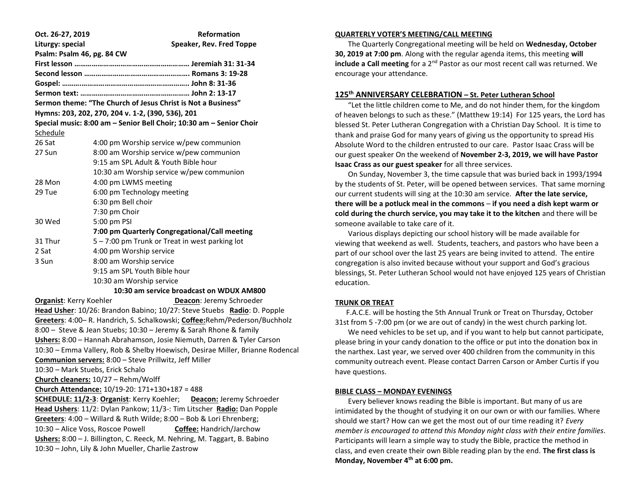| Oct. 26-27, 2019                                                       | <b>Reformation</b>                                                            |
|------------------------------------------------------------------------|-------------------------------------------------------------------------------|
| Liturgy: special                                                       | Speaker, Rev. Fred Toppe                                                      |
| Psalm: Psalm 46, pg. 84 CW                                             |                                                                               |
|                                                                        |                                                                               |
|                                                                        |                                                                               |
|                                                                        |                                                                               |
|                                                                        |                                                                               |
|                                                                        | Sermon theme: "The Church of Jesus Christ is Not a Business"                  |
|                                                                        | Hymns: 203, 202, 270, 204 v. 1-2, (390, 536), 201                             |
|                                                                        | Special music: 8:00 am - Senior Bell Choir; 10:30 am - Senior Choir           |
| Schedule                                                               |                                                                               |
| 26 Sat                                                                 | 4:00 pm Worship service w/pew communion                                       |
| 27 Sun                                                                 | 8:00 am Worship service w/pew communion                                       |
|                                                                        | 9:15 am SPL Adult & Youth Bible hour                                          |
|                                                                        | 10:30 am Worship service w/pew communion                                      |
| 28 Mon                                                                 | 4:00 pm LWMS meeting                                                          |
| 29 Tue                                                                 | 6:00 pm Technology meeting                                                    |
|                                                                        | 6:30 pm Bell choir                                                            |
|                                                                        | 7:30 pm Choir                                                                 |
| 30 Wed                                                                 | 5:00 pm PSI                                                                   |
|                                                                        | 7:00 pm Quarterly Congregational/Call meeting                                 |
| 31 Thur                                                                | 5 - 7:00 pm Trunk or Treat in west parking lot                                |
| 2 Sat                                                                  | 4:00 pm Worship service                                                       |
| 3 Sun                                                                  | 8:00 am Worship service                                                       |
|                                                                        | 9:15 am SPL Youth Bible hour                                                  |
|                                                                        | 10:30 am Worship service                                                      |
|                                                                        | 10:30 am service broadcast on WDUX AM800                                      |
| <b>Organist:</b> Kerry Koehler                                         | Deacon: Jeremy Schroeder                                                      |
|                                                                        | Head Usher: 10/26: Brandon Babino; 10/27: Steve Stuebs Radio: D. Popple       |
|                                                                        | Greeters: 4:00-R. Handrich, S. Schalkowski; Coffee: Rehm/Pederson/Buchholz    |
|                                                                        | 8:00 - Steve & Jean Stuebs; 10:30 - Jeremy & Sarah Rhone & family             |
|                                                                        | Ushers: 8:00 - Hannah Abrahamson, Josie Niemuth, Darren & Tyler Carson        |
|                                                                        | 10:30 - Emma Vallery, Rob & Shelby Hoewisch, Desirae Miller, Brianne Rodencal |
|                                                                        | Communion servers: 8:00 - Steve Prillwitz, Jeff Miller                        |
| 10:30 - Mark Stuebs, Erick Schalo                                      |                                                                               |
|                                                                        | Church cleaners: 10/27 - Rehm/Wolff                                           |
|                                                                        | Church Attendance: 10/19-20: 171+130+187 = 488                                |
|                                                                        | <b>SCHEDULE: 11/2-3: Organist: Kerry Koehler;</b><br>Deacon: Jeremy Schroeder |
| Head Ushers: 11/2: Dylan Pankow; 11/3-: Tim Litscher Radio: Dan Popple |                                                                               |
|                                                                        | Greeters: 4:00 - Willard & Ruth Wilde; 8:00 - Bob & Lori Ehrenberg;           |
| 10:30 - Alice Voss, Roscoe Powell                                      | <b>Coffee: Handrich/Jarchow</b>                                               |
|                                                                        | Ushers: 8:00 - J. Billington, C. Reeck, M. Nehring, M. Taggart, B. Babino     |
|                                                                        | 10:30 - John. Lily & John Mueller. Charlie Zastrow                            |

### **QUARTERLY VOTER'S MEETING/CALL MEETING**

 The Quarterly Congregational meeting will be held on **Wednesday, October 30, 2019 at 7:00 pm**. Along with the regular agenda items, this meeting **will include a Call meeting** for a 2<sup>nd</sup> Pastor as our most recent call was returned. We encourage your attendance.

# **125th ANNIVERSARY CELEBRATION – St. Peter Lutheran School**

 "Let the little children come to Me, and do not hinder them, for the kingdom of heaven belongs to such as these." (Matthew 19:14) For 125 years, the Lord has blessed St. Peter Lutheran Congregation with a Christian Day School. It is time to thank and praise God for many years of giving us the opportunity to spread His Absolute Word to the children entrusted to our care. Pastor Isaac Crass will be our guest speaker On the weekend of **November 2-3, 2019, we will have Pastor Isaac Crass as our guest speaker** for all three services.

 On Sunday, November 3, the time capsule that was buried back in 1993/1994 by the students of St. Peter, will be opened between services. That same morning our current students will sing at the 10:30 am service. **After the late service, there will be a potluck meal in the commons** – **if you need a dish kept warm or cold during the church service, you may take it to the kitchen** and there will be someone available to take care of it.

 Various displays depicting our school history will be made available for viewing that weekend as well. Students, teachers, and pastors who have been a part of our school over the last 25 years are being invited to attend. The entire congregation is also invited because without your support and God's gracious blessings, St. Peter Lutheran School would not have enjoyed 125 years of Christian education.

#### **TRUNK OR TREAT**

 F.A.C.E. will be hosting the 5th Annual Trunk or Treat on Thursday, October 31st from 5 -7:00 pm (or we are out of candy) in the west church parking lot.

 We need vehicles to be set up, and if you want to help but cannot participate, please bring in your candy donation to the office or put into the donation box in the narthex. Last year, we served over 400 children from the community in this community outreach event. Please contact Darren Carson or Amber Curtis if you have questions.

#### **BIBLE CLASS – MONDAY EVENINGS**

 Every believer knows reading the Bible is important. But many of us are intimidated by the thought of studying it on our own or with our families. Where should we start? How can we get the most out of our time reading it? *Every member is encouraged to attend this Monday night class with their entire families*. Participants will learn a simple way to study the Bible, practice the method in class, and even create their own Bible reading plan by the end. **The first class is Monday, November 4th at 6:00 pm.**